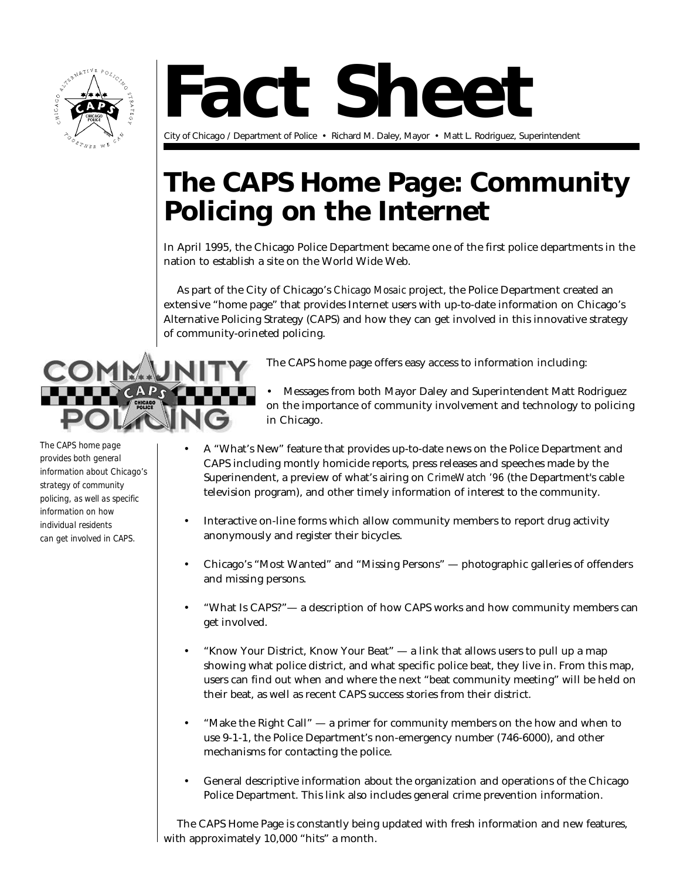

## **Fact Sheet**

City of Chicago / Department of Police • Richard M. Daley, Mayor • Matt L. Rodriguez, Superintendent

## **The CAPS Home Page: Community Policing on the Internet**

In April 1995, the Chicago Police Department became one of the first police departments in the nation to establish a site on the World Wide Web.

As part of the City of Chicago's *Chicago Mosaic* project, the Police Department created an extensive "home page" that provides Internet users with up-to-date information on Chicago's Alternative Policing Strategy (CAPS) and how they can get involved in this innovative strategy of community-orineted policing.



*The CAPS home page provides both general information about Chicago's strategy of community policing, as well as specific information on how individual residents can get involved in CAPS.*

The CAPS home page offers easy access to information including:

- Messages from both Mayor Daley and Superintendent Matt Rodriguez on the importance of community involvement and technology to policing in Chicago.
- A "What's New" feature that provides up-to-date news on the Police Department and CAPS including montly homicide reports, press releases and speeches made by the Superinendent, a preview of what's airing on *CrimeWatch '96* (the Department's cable television program), and other timely information of interest to the community.
- Interactive on-line forms which allow community members to report drug activity anonymously and register their bicycles.
- Chicago's "Most Wanted" and "Missing Persons" photographic galleries of offenders and missing persons.
- "What Is CAPS?"— a description of how CAPS works and how community members can get involved.
- "Know Your District, Know Your Beat" a link that allows users to pull up a map showing what police district, and what specific police beat, they live in. From this map, users can find out when and where the next "beat community meeting" will be held on their beat, as well as recent CAPS success stories from their district.
- "Make the Right Call"  $-$  a primer for community members on the how and when to use 9-1-1, the Police Department's non-emergency number (746-6000), and other mechanisms for contacting the police.
- General descriptive information about the organization and operations of the Chicago Police Department. This link also includes general crime prevention information.

The CAPS Home Page is constantly being updated with fresh information and new features, with approximately 10,000 "hits" a month.